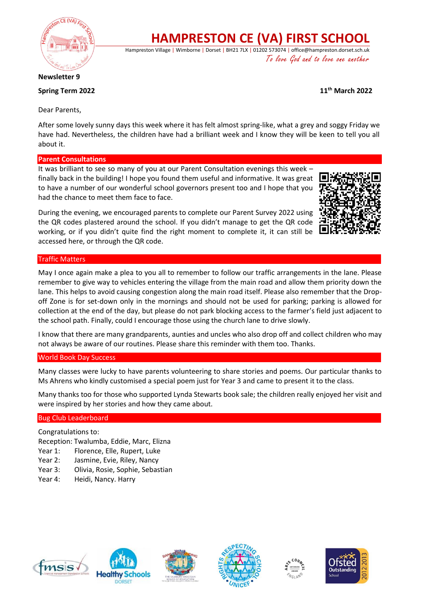

# **HAMPRESTON CE (VA) FIRST SCHOOL**

Hampreston Village | Wimborne | Dorset | BH21 7LX | 01202 573074 | office@hampreston.dorset.sch.uk To love God and to love one another

**Newsletter 9**

## **Spring Term 2022 11th March 2022**

Dear Parents,

After some lovely sunny days this week where it has felt almost spring-like, what a grey and soggy Friday we have had. Nevertheless, the children have had a brilliant week and I know they will be keen to tell you all about it.

### **Parent Consultations**

It was brilliant to see so many of you at our Parent Consultation evenings this week – finally back in the building! I hope you found them useful and informative. It was great to have a number of our wonderful school governors present too and I hope that you had the chance to meet them face to face.

During the evening, we encouraged parents to complete our Parent Survey 2022 using the QR codes plastered around the school. If you didn't manage to get the QR code working, or if you didn't quite find the right moment to complete it, it can still be accessed here, or through the QR code.

### Traffic Matters

May I once again make a plea to you all to remember to follow our traffic arrangements in the lane. Please remember to give way to vehicles entering the village from the main road and allow them priority down the lane. This helps to avoid causing congestion along the main road itself. Please also remember that the Dropoff Zone is for set-down only in the mornings and should not be used for parking; parking is allowed for collection at the end of the day, but please do not park blocking access to the farmer's field just adjacent to the school path. Finally, could I encourage those using the church lane to drive slowly.

I know that there are many grandparents, aunties and uncles who also drop off and collect children who may not always be aware of our routines. Please share this reminder with them too. Thanks.

#### World Book Day Success

Many classes were lucky to have parents volunteering to share stories and poems. Our particular thanks to Ms Ahrens who kindly customised a special poem just for Year 3 and came to present it to the class.

Many thanks too for those who supported Lynda Stewarts book sale; the children really enjoyed her visit and were inspired by her stories and how they came about.

#### Bug Club Leaderboard

Congratulations to:

Reception: Twalumba, Eddie, Marc, Elizna

- Year 1: Florence, Elle, Rupert, Luke
- Year 2: Jasmine, Evie, Riley, Nancy
- Year 3: Olivia, Rosie, Sophie, Sebastian
- Year 4: Heidi, Nancy. Harry









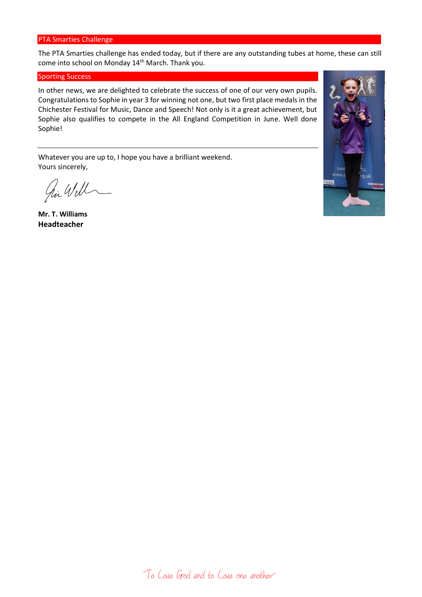#### PTA Smarties Challenge

The PTA Smarties challenge has ended today, but if there are any outstanding tubes at home, these can still come into school on Monday 14<sup>th</sup> March. Thank you.

#### Sporting Success

In other news, we are delighted to celebrate the success of one of our very own pupils. Congratulations to Sophie in year 3 for winning not one, but two first place medals in the Chichester Festival for Music, Dance and Speech! Not only is it a great achievement, but Sophie also qualifies to compete in the All England Competition in June. Well done Sophie!

Whatever you are up to, I hope you have a brilliant weekend. Yours sincerely,

hi Will

**Mr. T. Williams Headteacher**

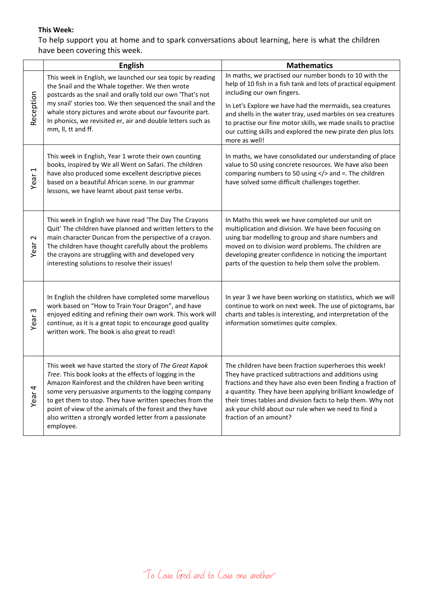## **This Week:**

To help support you at home and to spark conversations about learning, here is what the children have been covering this week.

|                         | <b>English</b>                                                                                                                                                                                                                                                                                                                                                                                                                    | <b>Mathematics</b>                                                                                                                                                                                                                                                                                                                                                                                                                  |
|-------------------------|-----------------------------------------------------------------------------------------------------------------------------------------------------------------------------------------------------------------------------------------------------------------------------------------------------------------------------------------------------------------------------------------------------------------------------------|-------------------------------------------------------------------------------------------------------------------------------------------------------------------------------------------------------------------------------------------------------------------------------------------------------------------------------------------------------------------------------------------------------------------------------------|
| Reception               | This week in English, we launched our sea topic by reading<br>the Snail and the Whale together. We then wrote<br>postcards as the snail and orally told our own 'That's not<br>my snail' stories too. We then sequenced the snail and the<br>whale story pictures and wrote about our favourite part.<br>In phonics, we revisited er, air and double letters such as<br>mm, II, tt and ff.                                        | In maths, we practised our number bonds to 10 with the<br>help of 10 fish in a fish tank and lots of practical equipment<br>including our own fingers.<br>In Let's Explore we have had the mermaids, sea creatures<br>and shells in the water tray, used marbles on sea creatures<br>to practise our fine motor skills, we made snails to practise<br>our cutting skills and explored the new pirate den plus lots<br>more as well! |
| Year 1                  | This week in English, Year 1 wrote their own counting<br>books, inspired by We all Went on Safari. The children<br>have also produced some excellent descriptive pieces<br>based on a beautiful African scene. In our grammar<br>lessons, we have learnt about past tense verbs.                                                                                                                                                  | In maths, we have consolidated our understanding of place<br>value to 50 using concrete resources. We have also been<br>comparing numbers to 50 using  and =. The children<br>have solved some difficult challenges together.                                                                                                                                                                                                       |
| $\mathbf{\sim}$<br>Year | This week in English we have read 'The Day The Crayons<br>Quit' The children have planned and written letters to the<br>main character Duncan from the perspective of a crayon.<br>The children have thought carefully about the problems<br>the crayons are struggling with and developed very<br>interesting solutions to resolve their issues!                                                                                 | In Maths this week we have completed our unit on<br>multiplication and division. We have been focusing on<br>using bar modelling to group and share numbers and<br>moved on to division word problems. The children are<br>developing greater confidence in noticing the important<br>parts of the question to help them solve the problem.                                                                                         |
| Year <sub>3</sub>       | In English the children have completed some marvellous<br>work based on "How to Train Your Dragon", and have<br>enjoyed editing and refining their own work. This work will<br>continue, as it is a great topic to encourage good quality<br>written work. The book is also great to read!                                                                                                                                        | In year 3 we have been working on statistics, which we will<br>continue to work on next week. The use of pictograms, bar<br>charts and tables is interesting, and interpretation of the<br>information sometimes quite complex.                                                                                                                                                                                                     |
| Year <sub>4</sub>       | This week we have started the story of The Great Kapok<br>Tree. This book looks at the effects of logging in the<br>Amazon Rainforest and the children have been writing<br>some very persuasive arguments to the logging company<br>to get them to stop. They have written speeches from the<br>point of view of the animals of the forest and they have<br>also written a strongly worded letter from a passionate<br>employee. | The children have been fraction superheroes this week!<br>They have practiced subtractions and additions using<br>fractions and they have also even been finding a fraction of<br>a quantity. They have been applying brilliant knowledge of<br>their times tables and division facts to help them. Why not<br>ask your child about our rule when we need to find a<br>fraction of an amount?                                       |